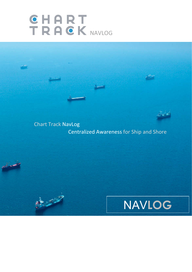# IKHUN NAVLOG

RECORDS



Chart Track NavLog Centralized Awareness for Ship and Shore

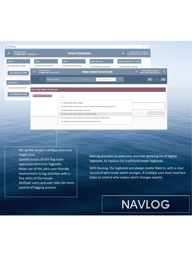| C CT NAVLog                                         |                                                                                                   |                                                                                                                                                                                                      | □<br>-                                                                                  |
|-----------------------------------------------------|---------------------------------------------------------------------------------------------------|------------------------------------------------------------------------------------------------------------------------------------------------------------------------------------------------------|-----------------------------------------------------------------------------------------|
| Current Ship Time:<br>٠<br>17-Nov-2021 11:59 [ZT] © |                                                                                                   | <b>Vessel Particulars</b>                                                                                                                                                                            | Morais, Nelson (Captain)<br>$\alpha$<br>Bogerd Martin Demo (IMO12                       |
| <b>General</b><br>(No particulars entered)          | Radar<br>(No particulars entered)                                                                 | Radio<br><b>Radio Operators</b><br>(No particulars entered)<br>(No particulars entered)                                                                                                              | Oil Record Book Part I Tanks<br>(No particulars entered)                                |
| <b>View Details and Edit</b>                        | <b>Current Ship Time:</b><br>$\ddot{\phantom{1}}$<br>17-Nov-2021 12:01 [ZT] 3<br>Show: Everything | <b>Water Ballast Record Book</b><br>$\tau = \square$ in data range<br>Type to filter entries                                                                                                         | Moraia, Nelson (Captain)<br>Bogerd Martin Demo (IMO12<br>$\mathbf{B}$<br>٠<br>$\bullet$ |
| <b>Cargo Tanks</b><br>(No particulars entered)      | <b>New Water Ballast Record Entry</b>                                                             |                                                                                                                                                                                                      | 童<br>m                                                                                  |
| <b>View Details and Edit</b>                        | Log Date/Time<br>□ 17-Nov-2021 12:01 [ZT]                                                         | Code *                                                                                                                                                                                               |                                                                                         |
|                                                     |                                                                                                   | 3.1: Ballast Water taken on board<br>3.2: Ballast Water is circulated or treated for Ballast Water Management purposes<br>3.3: Ballast Water is discharged in to the sea                             |                                                                                         |
|                                                     |                                                                                                   | 3.4: Ballast Water is discharged to a reception facility<br>3.5; Accidental or other exceptional uptake or discharges of ballast water<br>3.6: Additional operational procedures and general remarks | <b>Save for Approval</b><br>Save as Draft                                               |
|                                                     |                                                                                                   |                                                                                                                                                                                                      |                                                                                         |

- Set up the vessel's configuration one single time
- Quickly access all the flag state approved electronic logbooks
- Make use of the ultra user-friendly environment to log activities with a few clicks of the mouse
- Multiple users and user roles for more control of logging process

NavLog provides an extensive and ever-growing list of digital logbooks, to replace the traditional paper logbooks.

With NavLog, the logbooks are always neatly filled in, with a clear record of who made which changes. A multiple user level interface helps to control who makes which changes exactly.

### NAV**LOG**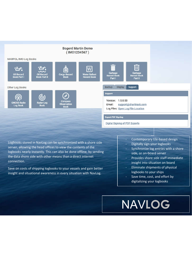

#### MARPOL/IMO Log Books



Logbooks stored in NavLog can be synchronized with a shore side server, allowing the head offices to view the contents of the logbooks nearly instantly. This can also be done offline, by sending the data shore side with other means than a direct internet connection.

Save on costs of shipping logbooks to your vessels and gain better insight and situational awareness in every situation with NavLog.

- Contemporary tile-based design
- Digitally sign your logbooks
- Synchronize log entries with a shore side, or on-board server
- Provides shore side staff immediate insight into situation on board
- Eliminate shipments of physical logbooks to your ships
- Save time, cost, and effort by digitalizing your logbooks

### NAV**LOG**